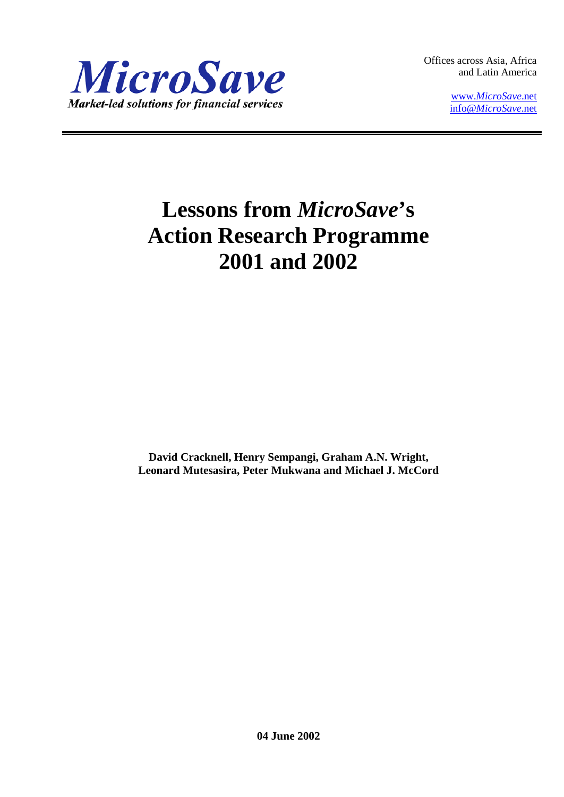

Offices across Asia, Africa and Latin America

> www.*[MicroSave](http://www.microsave.net/)*.net info@*[MicroSave](mailto:info@MicroSave.net)*.net

# **Lessons from** *MicroSave***'s Action Research Programme 2001 and 2002**

**David Cracknell, Henry Sempangi, Graham A.N. Wright, Leonard Mutesasira, Peter Mukwana and Michael J. McCord**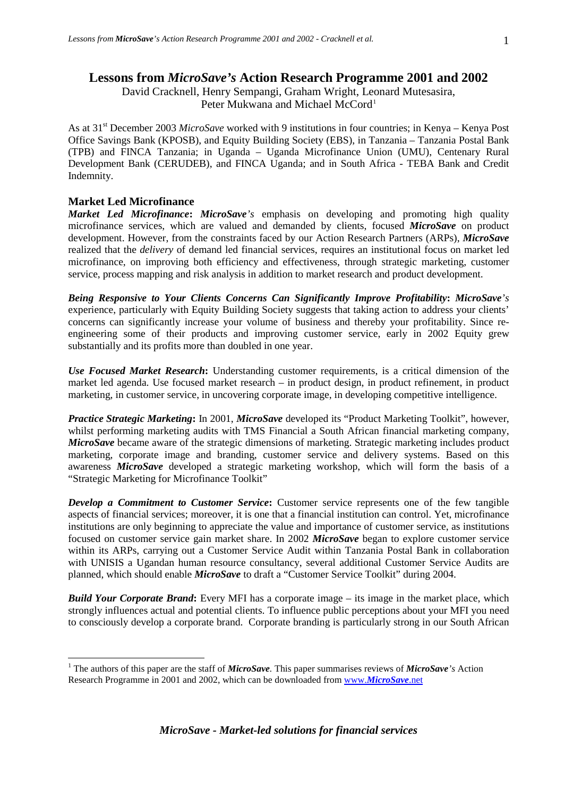## **Lessons from** *MicroSave's* **Action Research Programme 2001 and 2002**

David Cracknell, Henry Sempangi, Graham Wright, Leonard Mutesasira, Peter Mukwana and Michael McCord<sup>[1](#page-1-0)</sup>

As at 31st December 2003 *MicroSave* worked with 9 institutions in four countries; in Kenya – Kenya Post Office Savings Bank (KPOSB), and Equity Building Society (EBS), in Tanzania – Tanzania Postal Bank (TPB) and FINCA Tanzania; in Uganda – Uganda Microfinance Union (UMU), Centenary Rural Development Bank (CERUDEB), and FINCA Uganda; and in South Africa - TEBA Bank and Credit Indemnity.

## **Market Led Microfinance**

*Market Led Microfinance***:** *MicroSave's* emphasis on developing and promoting high quality microfinance services, which are valued and demanded by clients, focused *MicroSave* on product development. However, from the constraints faced by our Action Research Partners (ARPs), *MicroSave* realized that the *delivery* of demand led financial services, requires an institutional focus on market led microfinance, on improving both efficiency and effectiveness, through strategic marketing, customer service, process mapping and risk analysis in addition to market research and product development.

*Being Responsive to Your Clients Concerns Can Significantly Improve Profitability***:** *MicroSave's*  experience, particularly with Equity Building Society suggests that taking action to address your clients' concerns can significantly increase your volume of business and thereby your profitability. Since reengineering some of their products and improving customer service, early in 2002 Equity grew substantially and its profits more than doubled in one year.

*Use Focused Market Research***:** Understanding customer requirements, is a critical dimension of the market led agenda. Use focused market research – in product design, in product refinement, in product marketing, in customer service, in uncovering corporate image, in developing competitive intelligence.

*Practice Strategic Marketing***:** In 2001, *MicroSave* developed its "Product Marketing Toolkit", however, whilst performing marketing audits with TMS Financial a South African financial marketing company, *MicroSave* became aware of the strategic dimensions of marketing. Strategic marketing includes product marketing, corporate image and branding, customer service and delivery systems. Based on this awareness *MicroSave* developed a strategic marketing workshop, which will form the basis of a "Strategic Marketing for Microfinance Toolkit"

*Develop a Commitment to Customer Service***:** Customer service represents one of the few tangible aspects of financial services; moreover, it is one that a financial institution can control. Yet, microfinance institutions are only beginning to appreciate the value and importance of customer service, as institutions focused on customer service gain market share. In 2002 *MicroSave* began to explore customer service within its ARPs, carrying out a Customer Service Audit within Tanzania Postal Bank in collaboration with UNISIS a Ugandan human resource consultancy, several additional Customer Service Audits are planned, which should enable *MicroSave* to draft a "Customer Service Toolkit" during 2004.

*Build Your Corporate Brand***:** Every MFI has a corporate image – its image in the market place, which strongly influences actual and potential clients. To influence public perceptions about your MFI you need to consciously develop a corporate brand. Corporate branding is particularly strong in our South African

<span id="page-1-0"></span> <sup>1</sup> The authors of this paper are the staff of *MicroSave.* This paper summarises reviews of *MicroSave's* Action Research Programme in 2001 and 2002, which can be downloaded from www.*[MicroSave](http://www.microsave.net/)*.net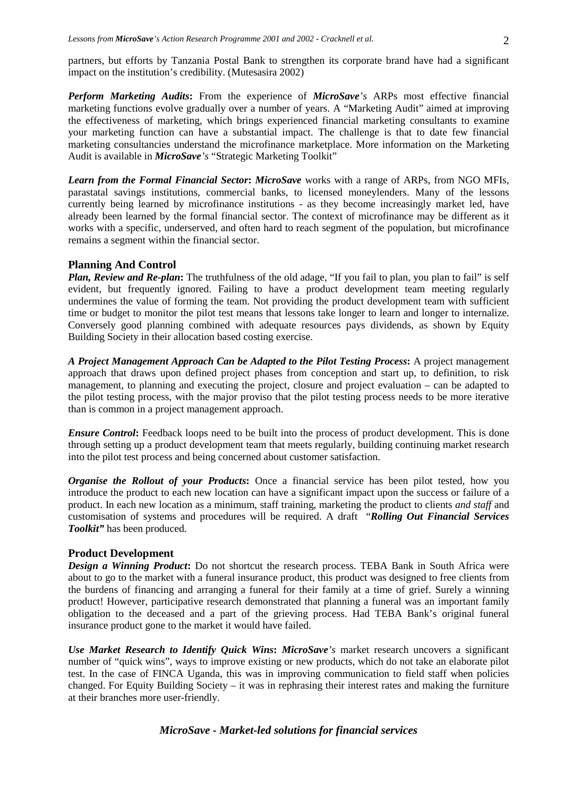*Perform Marketing Audits***:** From the experience of *MicroSave's* ARPs most effective financial marketing functions evolve gradually over a number of years. A "Marketing Audit" aimed at improving the effectiveness of marketing, which brings experienced financial marketing consultants to examine your marketing function can have a substantial impact. The challenge is that to date few financial marketing consultancies understand the microfinance marketplace. More information on the Marketing Audit is available in *MicroSave's* "Strategic Marketing Toolkit"

*Learn from the Formal Financial Sector***:** *MicroSave* works with a range of ARPs, from NGO MFIs, parastatal savings institutions, commercial banks, to licensed moneylenders. Many of the lessons currently being learned by microfinance institutions - as they become increasingly market led, have already been learned by the formal financial sector. The context of microfinance may be different as it works with a specific, underserved, and often hard to reach segment of the population, but microfinance remains a segment within the financial sector.

## **Planning And Control**

*Plan, Review and Re-plan*: The truthfulness of the old adage, "If you fail to plan, you plan to fail" is self evident, but frequently ignored. Failing to have a product development team meeting regularly undermines the value of forming the team. Not providing the product development team with sufficient time or budget to monitor the pilot test means that lessons take longer to learn and longer to internalize. Conversely good planning combined with adequate resources pays dividends, as shown by Equity Building Society in their allocation based costing exercise.

*A Project Management Approach Can be Adapted to the Pilot Testing Process***:** A project management approach that draws upon defined project phases from conception and start up, to definition, to risk management, to planning and executing the project, closure and project evaluation – can be adapted to the pilot testing process, with the major proviso that the pilot testing process needs to be more iterative than is common in a project management approach.

*Ensure Control*: Feedback loops need to be built into the process of product development. This is done through setting up a product development team that meets regularly, building continuing market research into the pilot test process and being concerned about customer satisfaction.

*Organise the Rollout of your Products*: Once a financial service has been pilot tested, how you introduce the product to each new location can have a significant impact upon the success or failure of a product. In each new location as a minimum, staff training, marketing the product to clients *and staff* and customisation of systems and procedures will be required. A draft "*Rolling Out Financial Services Toolkit"* has been produced.

## **Product Development**

*Design a Winning Product*: Do not shortcut the research process. TEBA Bank in South Africa were about to go to the market with a funeral insurance product, this product was designed to free clients from the burdens of financing and arranging a funeral for their family at a time of grief. Surely a winning product! However, participative research demonstrated that planning a funeral was an important family obligation to the deceased and a part of the grieving process. Had TEBA Bank's original funeral insurance product gone to the market it would have failed.

*Use Market Research to Identify Quick Wins***:** *MicroSave's* market research uncovers a significant number of "quick wins", ways to improve existing or new products, which do not take an elaborate pilot test. In the case of FINCA Uganda, this was in improving communication to field staff when policies changed. For Equity Building Society – it was in rephrasing their interest rates and making the furniture at their branches more user-friendly.

## *MicroSave - Market-led solutions for financial services*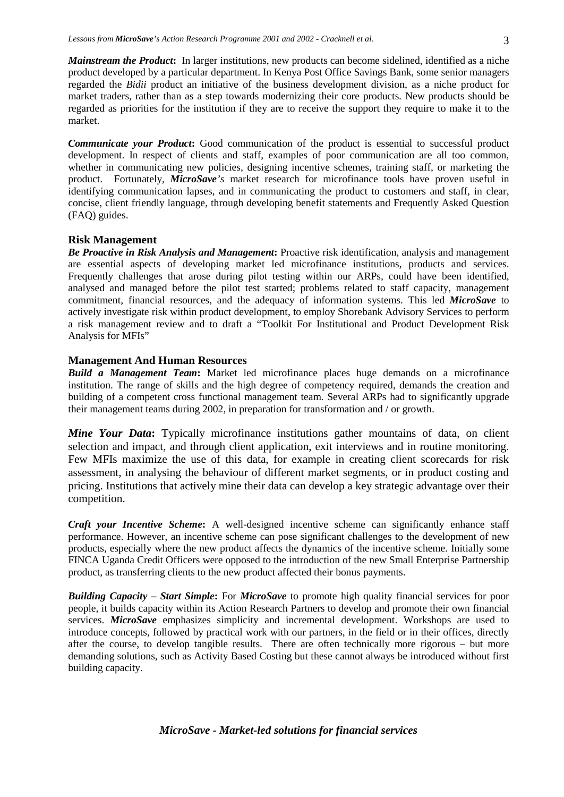*Mainstream the Product***:** In larger institutions, new products can become sidelined, identified as a niche product developed by a particular department. In Kenya Post Office Savings Bank, some senior managers regarded the *Bidii* product an initiative of the business development division, as a niche product for market traders, rather than as a step towards modernizing their core products. New products should be regarded as priorities for the institution if they are to receive the support they require to make it to the market.

*Communicate your Product***:** Good communication of the product is essential to successful product development. In respect of clients and staff, examples of poor communication are all too common, whether in communicating new policies, designing incentive schemes, training staff, or marketing the product. Fortunately, *MicroSave's* market research for microfinance tools have proven useful in identifying communication lapses, and in communicating the product to customers and staff, in clear, concise, client friendly language, through developing benefit statements and Frequently Asked Question (FAQ) guides.

### **Risk Management**

*Be Proactive in Risk Analysis and Management***:** Proactive risk identification, analysis and management are essential aspects of developing market led microfinance institutions, products and services. Frequently challenges that arose during pilot testing within our ARPs, could have been identified, analysed and managed before the pilot test started; problems related to staff capacity, management commitment, financial resources, and the adequacy of information systems. This led *MicroSave* to actively investigate risk within product development, to employ Shorebank Advisory Services to perform a risk management review and to draft a "Toolkit For Institutional and Product Development Risk Analysis for MFIs"

#### **Management And Human Resources**

*Build a Management Team***:** Market led microfinance places huge demands on a microfinance institution. The range of skills and the high degree of competency required, demands the creation and building of a competent cross functional management team. Several ARPs had to significantly upgrade their management teams during 2002, in preparation for transformation and / or growth.

*Mine Your Data***:** Typically microfinance institutions gather mountains of data, on client selection and impact, and through client application, exit interviews and in routine monitoring. Few MFIs maximize the use of this data, for example in creating client scorecards for risk assessment, in analysing the behaviour of different market segments, or in product costing and pricing. Institutions that actively mine their data can develop a key strategic advantage over their competition.

*Craft your Incentive Scheme***:** A well-designed incentive scheme can significantly enhance staff performance. However, an incentive scheme can pose significant challenges to the development of new products, especially where the new product affects the dynamics of the incentive scheme. Initially some FINCA Uganda Credit Officers were opposed to the introduction of the new Small Enterprise Partnership product, as transferring clients to the new product affected their bonus payments.

*Building Capacity – Start Simple***:** For *MicroSave* to promote high quality financial services for poor people, it builds capacity within its Action Research Partners to develop and promote their own financial services. *MicroSave* emphasizes simplicity and incremental development. Workshops are used to introduce concepts, followed by practical work with our partners, in the field or in their offices, directly after the course, to develop tangible results. There are often technically more rigorous – but more demanding solutions, such as Activity Based Costing but these cannot always be introduced without first building capacity.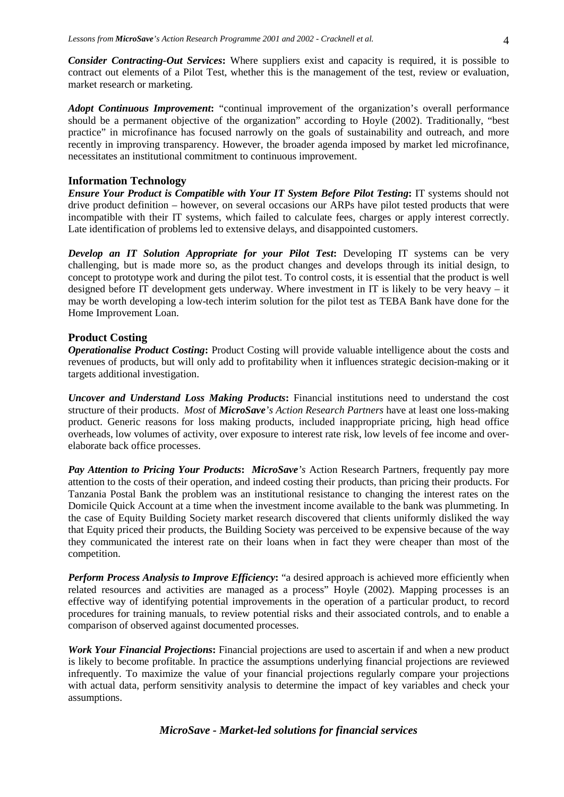*Consider Contracting-Out Services***:** Where suppliers exist and capacity is required, it is possible to contract out elements of a Pilot Test, whether this is the management of the test, review or evaluation, market research or marketing.

*Adopt Continuous Improvement***:** "continual improvement of the organization's overall performance should be a permanent objective of the organization" according to Hoyle (2002). Traditionally, "best practice" in microfinance has focused narrowly on the goals of sustainability and outreach, and more recently in improving transparency. However, the broader agenda imposed by market led microfinance, necessitates an institutional commitment to continuous improvement.

#### **Information Technology**

*Ensure Your Product is Compatible with Your IT System Before Pilot Testing***:** IT systems should not drive product definition – however, on several occasions our ARPs have pilot tested products that were incompatible with their IT systems, which failed to calculate fees, charges or apply interest correctly. Late identification of problems led to extensive delays, and disappointed customers.

*Develop an IT Solution Appropriate for your Pilot Test***:** Developing IT systems can be very challenging, but is made more so, as the product changes and develops through its initial design, to concept to prototype work and during the pilot test. To control costs, it is essential that the product is well designed before IT development gets underway. Where investment in IT is likely to be very heavy – it may be worth developing a low-tech interim solution for the pilot test as TEBA Bank have done for the Home Improvement Loan.

#### **Product Costing**

*Operationalise Product Costing***:** Product Costing will provide valuable intelligence about the costs and revenues of products, but will only add to profitability when it influences strategic decision-making or it targets additional investigation.

*Uncover and Understand Loss Making Products***:** Financial institutions need to understand the cost structure of their products. *Most* of *MicroSave's Action Research Partners* have at least one loss-making product. Generic reasons for loss making products, included inappropriate pricing, high head office overheads, low volumes of activity, over exposure to interest rate risk, low levels of fee income and overelaborate back office processes.

*Pay Attention to Pricing Your Products***:** *MicroSave's* Action Research Partners, frequently pay more attention to the costs of their operation, and indeed costing their products, than pricing their products. For Tanzania Postal Bank the problem was an institutional resistance to changing the interest rates on the Domicile Quick Account at a time when the investment income available to the bank was plummeting. In the case of Equity Building Society market research discovered that clients uniformly disliked the way that Equity priced their products, the Building Society was perceived to be expensive because of the way they communicated the interest rate on their loans when in fact they were cheaper than most of the competition.

*Perform Process Analysis to Improve Efficiency***:** "a desired approach is achieved more efficiently when related resources and activities are managed as a process" Hoyle (2002). Mapping processes is an effective way of identifying potential improvements in the operation of a particular product, to record procedures for training manuals, to review potential risks and their associated controls, and to enable a comparison of observed against documented processes.

*Work Your Financial Projections***:** Financial projections are used to ascertain if and when a new product is likely to become profitable. In practice the assumptions underlying financial projections are reviewed infrequently. To maximize the value of your financial projections regularly compare your projections with actual data, perform sensitivity analysis to determine the impact of key variables and check your assumptions.

## *MicroSave - Market-led solutions for financial services*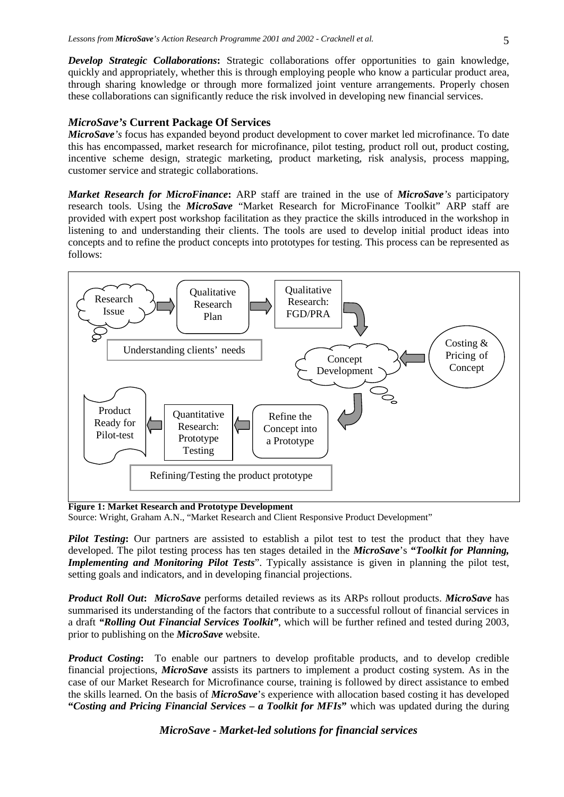*Develop Strategic Collaborations***:** Strategic collaborations offer opportunities to gain knowledge, quickly and appropriately, whether this is through employing people who know a particular product area, through sharing knowledge or through more formalized joint venture arrangements. Properly chosen these collaborations can significantly reduce the risk involved in developing new financial services.

## *MicroSave's* **Current Package Of Services**

*MicroSave's* focus has expanded beyond product development to cover market led microfinance. To date this has encompassed, market research for microfinance, pilot testing, product roll out, product costing, incentive scheme design, strategic marketing, product marketing, risk analysis, process mapping, customer service and strategic collaborations.

*Market Research for MicroFinance***:** ARP staff are trained in the use of *MicroSave's* participatory research tools. Using the *MicroSave* "Market Research for MicroFinance Toolkit" ARP staff are provided with expert post workshop facilitation as they practice the skills introduced in the workshop in listening to and understanding their clients. The tools are used to develop initial product ideas into concepts and to refine the product concepts into prototypes for testing. This process can be represented as follows:



**Figure 1: Market Research and Prototype Development**

Source: Wright, Graham A.N., "Market Research and Client Responsive Product Development"

*Pilot Testing***:** Our partners are assisted to establish a pilot test to test the product that they have developed. The pilot testing process has ten stages detailed in the *MicroSave*'s **"***Toolkit for Planning, Implementing and Monitoring Pilot Tests*". Typically assistance is given in planning the pilot test, setting goals and indicators, and in developing financial projections.

*Product Roll Out***:** *MicroSave* performs detailed reviews as its ARPs rollout products. *MicroSave* has summarised its understanding of the factors that contribute to a successful rollout of financial services in a draft *"Rolling Out Financial Services Toolkit"*, which will be further refined and tested during 2003, prior to publishing on the *MicroSave* website.

*Product Costing*: To enable our partners to develop profitable products, and to develop credible financial projections, *MicroSave* assists its partners to implement a product costing system. As in the case of our Market Research for Microfinance course, training is followed by direct assistance to embed the skills learned. On the basis of *MicroSave*'s experience with allocation based costing it has developed **"***Costing and Pricing Financial Services* **–** *a Toolkit for MFIs***"** which was updated during the during

## *MicroSave - Market-led solutions for financial services*